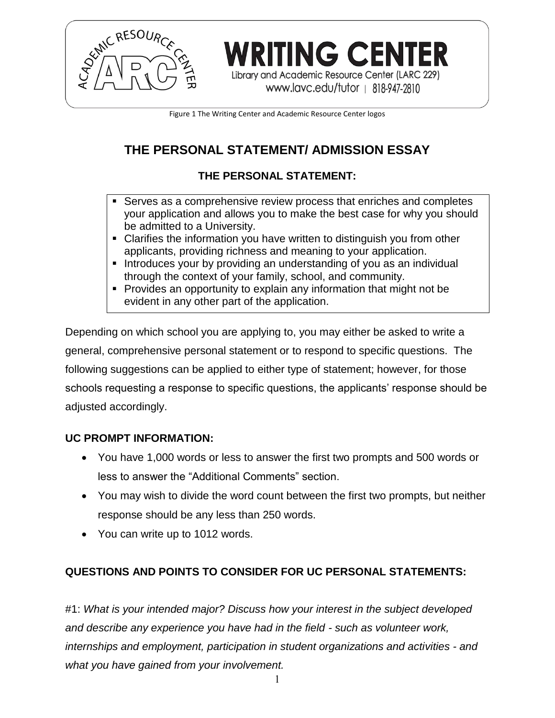

Library and Academic Resource Center (LARC 229) www.lavc.edu/tutor | 818-947-2810

**/RITING CENTER** 

Figure 1 The Writing Center and Academic Resource Center logos

# **THE PERSONAL STATEMENT/ ADMISSION ESSAY**

## **THE PERSONAL STATEMENT:**

- Serves as a comprehensive review process that enriches and completes your application and allows you to make the best case for why you should be admitted to a University.
- Clarifies the information you have written to distinguish you from other applicants, providing richness and meaning to your application.
- Introduces your by providing an understanding of you as an individual through the context of your family, school, and community.
- Provides an opportunity to explain any information that might not be evident in any other part of the application.

Depending on which school you are applying to, you may either be asked to write a general, comprehensive personal statement or to respond to specific questions. The following suggestions can be applied to either type of statement; however, for those schools requesting a response to specific questions, the applicants' response should be adjusted accordingly.

## **UC PROMPT INFORMATION:**

- You have 1,000 words or less to answer the first two prompts and 500 words or less to answer the "Additional Comments" section.
- You may wish to divide the word count between the first two prompts, but neither response should be any less than 250 words.
- You can write up to 1012 words.

## **QUESTIONS AND POINTS TO CONSIDER FOR UC PERSONAL STATEMENTS:**

#1: *What is your intended major? Discuss how your interest in the subject developed and describe any experience you have had in the field - such as volunteer work, internships and employment, participation in student organizations and activities - and what you have gained from your involvement.*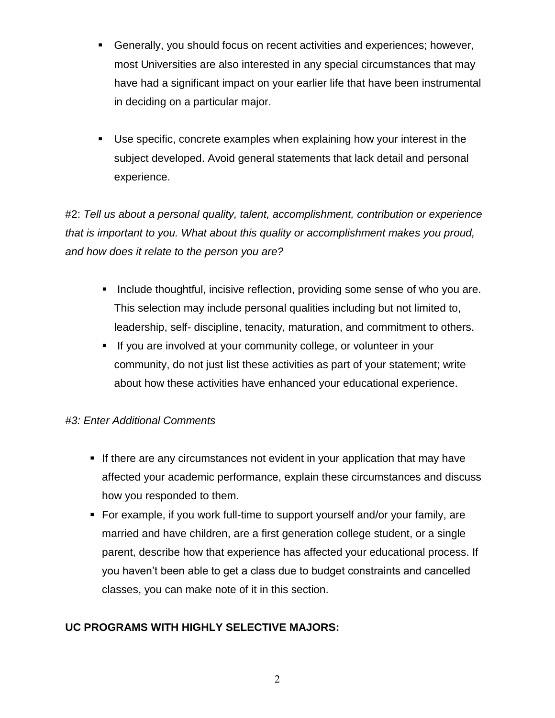- Generally, you should focus on recent activities and experiences; however, most Universities are also interested in any special circumstances that may have had a significant impact on your earlier life that have been instrumental in deciding on a particular major.
- Use specific, concrete examples when explaining how your interest in the subject developed. Avoid general statements that lack detail and personal experience.

#2: *Tell us about a personal quality, talent, accomplishment, contribution or experience that is important to you. What about this quality or accomplishment makes you proud, and how does it relate to the person you are?*

- Include thoughtful, incisive reflection, providing some sense of who you are. This selection may include personal qualities including but not limited to, leadership, self- discipline, tenacity, maturation, and commitment to others.
- If you are involved at your community college, or volunteer in your community, do not just list these activities as part of your statement; write about how these activities have enhanced your educational experience.

## *#3: Enter Additional Comments*

- If there are any circumstances not evident in your application that may have affected your academic performance, explain these circumstances and discuss how you responded to them.
- For example, if you work full-time to support yourself and/or your family, are married and have children, are a first generation college student, or a single parent, describe how that experience has affected your educational process. If you haven't been able to get a class due to budget constraints and cancelled classes, you can make note of it in this section.

## **UC PROGRAMS WITH HIGHLY SELECTIVE MAJORS:**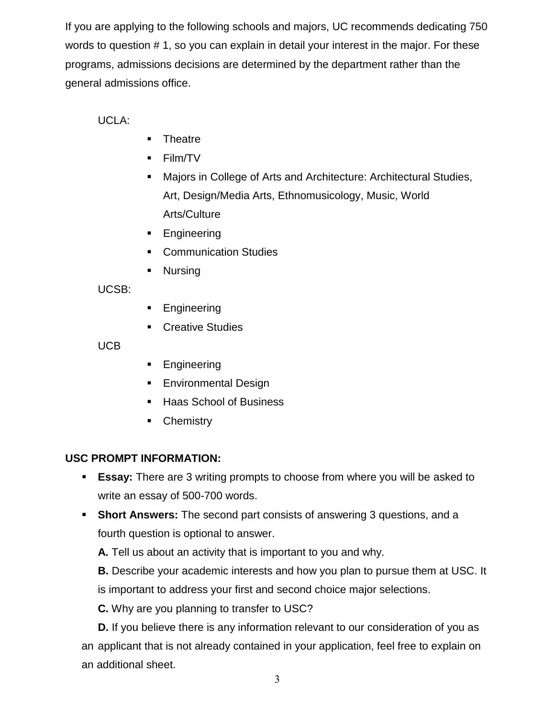If you are applying to the following schools and majors, UC recommends dedicating 750 words to question # 1, so you can explain in detail your interest in the major. For these programs, admissions decisions are determined by the department rather than the general admissions office.

UCLA:

- **Theatre**
- Film/TV
- Majors in College of Arts and Architecture: Architectural Studies, Art, Design/Media Arts, Ethnomusicology, Music, World Arts/Culture
- **Engineering**
- Communication Studies
- Nursing

UCSB:

- Engineering
- Creative Studies

UCB

- **Engineering**
- **Environmental Design**
- Haas School of Business
- **Chemistry**

## **USC PROMPT INFORMATION:**

- **Essay:** There are 3 writing prompts to choose from where you will be asked to write an essay of 500-700 words.
- **Short Answers:** The second part consists of answering 3 questions, and a fourth question is optional to answer.

**A.** Tell us about an activity that is important to you and why.

**B.** Describe your academic interests and how you plan to pursue them at USC. It is important to address your first and second choice major selections.

**C.** Why are you planning to transfer to USC?

**D.** If you believe there is any information relevant to our consideration of you as an applicant that is not already contained in your application, feel free to explain on an additional sheet.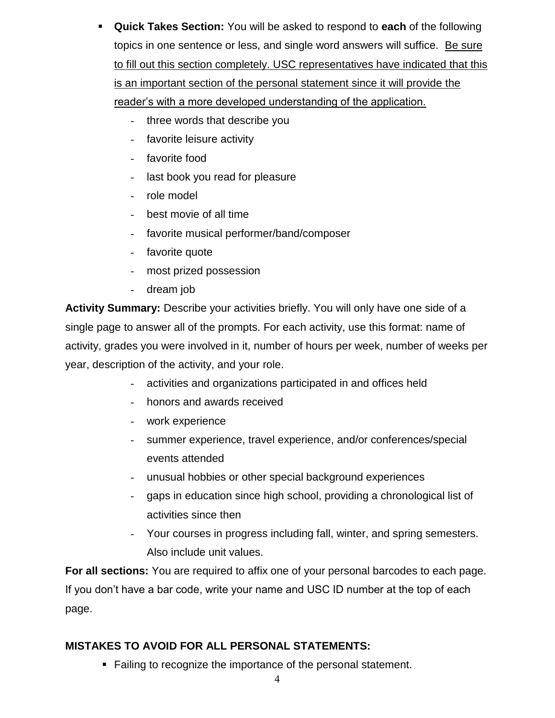- **Quick Takes Section:** You will be asked to respond to **each** of the following topics in one sentence or less, and single word answers will suffice. Be sure to fill out this section completely. USC representatives have indicated that this is an important section of the personal statement since it will provide the reader's with a more developed understanding of the application.
	- three words that describe you
	- favorite leisure activity
	- favorite food
	- last book you read for pleasure
	- role model
	- best movie of all time
	- favorite musical performer/band/composer
	- favorite quote
	- most prized possession
	- dream job

**Activity Summary:** Describe your activities briefly. You will only have one side of a single page to answer all of the prompts. For each activity, use this format: name of activity, grades you were involved in it, number of hours per week, number of weeks per year, description of the activity, and your role.

- activities and organizations participated in and offices held
- honors and awards received
- work experience
- summer experience, travel experience, and/or conferences/special events attended
- unusual hobbies or other special background experiences
- gaps in education since high school, providing a chronological list of activities since then
- Your courses in progress including fall, winter, and spring semesters. Also include unit values.

**For all sections:** You are required to affix one of your personal barcodes to each page. If you don't have a bar code, write your name and USC ID number at the top of each page.

#### **MISTAKES TO AVOID FOR ALL PERSONAL STATEMENTS:**

■ Failing to recognize the importance of the personal statement.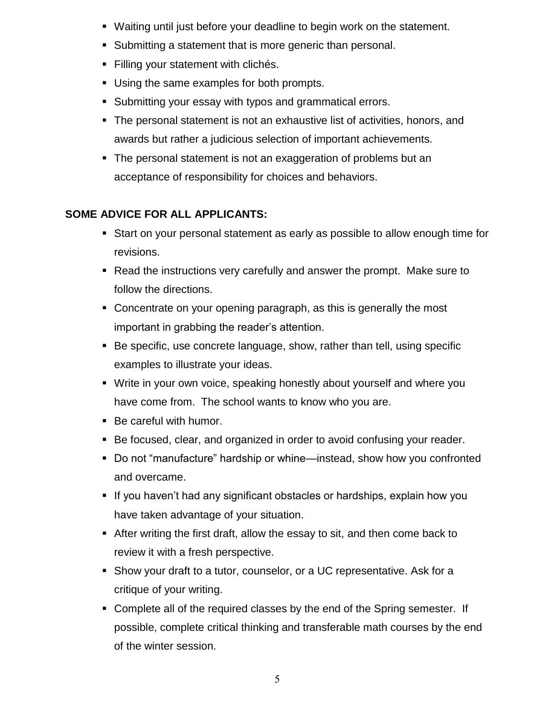- Waiting until just before your deadline to begin work on the statement.
- Submitting a statement that is more generic than personal.
- Filling your statement with clichés.
- Using the same examples for both prompts.
- Submitting your essay with typos and grammatical errors.
- The personal statement is not an exhaustive list of activities, honors, and awards but rather a judicious selection of important achievements.
- The personal statement is not an exaggeration of problems but an acceptance of responsibility for choices and behaviors.

## **SOME ADVICE FOR ALL APPLICANTS:**

- Start on your personal statement as early as possible to allow enough time for revisions.
- Read the instructions very carefully and answer the prompt. Make sure to follow the directions.
- Concentrate on your opening paragraph, as this is generally the most important in grabbing the reader's attention.
- Be specific, use concrete language, show, rather than tell, using specific examples to illustrate your ideas.
- Write in your own voice, speaking honestly about yourself and where you have come from. The school wants to know who you are.
- Be careful with humor.
- Be focused, clear, and organized in order to avoid confusing your reader.
- Do not "manufacture" hardship or whine—instead, show how you confronted and overcame.
- If you haven't had any significant obstacles or hardships, explain how you have taken advantage of your situation.
- After writing the first draft, allow the essay to sit, and then come back to review it with a fresh perspective.
- Show your draft to a tutor, counselor, or a UC representative. Ask for a critique of your writing.
- Complete all of the required classes by the end of the Spring semester. If possible, complete critical thinking and transferable math courses by the end of the winter session.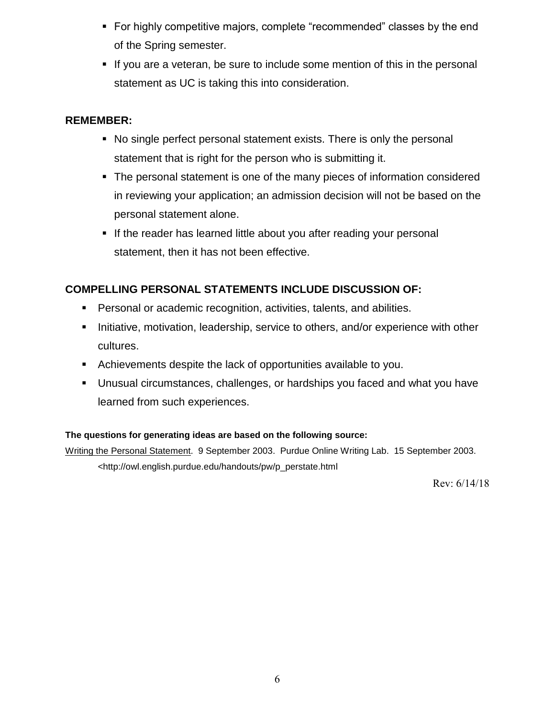- For highly competitive majors, complete "recommended" classes by the end of the Spring semester.
- If you are a veteran, be sure to include some mention of this in the personal statement as UC is taking this into consideration.

#### **REMEMBER:**

- No single perfect personal statement exists. There is only the personal statement that is right for the person who is submitting it.
- The personal statement is one of the many pieces of information considered in reviewing your application; an admission decision will not be based on the personal statement alone.
- If the reader has learned little about you after reading your personal statement, then it has not been effective.

### **COMPELLING PERSONAL STATEMENTS INCLUDE DISCUSSION OF:**

- Personal or academic recognition, activities, talents, and abilities.
- Initiative, motivation, leadership, service to others, and/or experience with other cultures.
- Achievements despite the lack of opportunities available to you.
- Unusual circumstances, challenges, or hardships you faced and what you have learned from such experiences.

#### **The questions for generating ideas are based on the following source:**

Writing the Personal Statement. 9 September 2003. Purdue Online Writing Lab. 15 September 2003. <http://owl.english.purdue.edu/handouts/pw/p\_perstate.html

Rev: 6/14/18